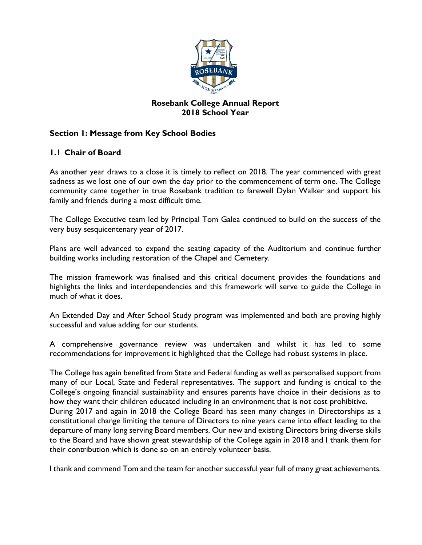

## **Rosebank College Annual Report 2018 School Year**

## **Section 1: Message from Key School Bodies**

## **1.1 Chair of Board**

As another year draws to a close it is timely to reflect on 2018. The year commenced with great sadness as we lost one of our own the day prior to the commencement of term one. The College community came together in true Rosebank tradition to farewell Dylan Walker and support his family and friends during a most difficult time.

The College Executive team led by Principal Tom Galea continued to build on the success of the very busy sesquicentenary year of 2017.

Plans are well advanced to expand the seating capacity of the Auditorium and continue further building works including restoration of the Chapel and Cemetery.

The mission framework was finalised and this critical document provides the foundations and highlights the links and interdependencies and this framework will serve to guide the College in much of what it does.

An Extended Day and After School Study program was implemented and both are proving highly successful and value adding for our students.

A comprehensive governance review was undertaken and whilst it has led to some recommendations for improvement it highlighted that the College had robust systems in place.

The College has again benefited from State and Federal funding as well as personalised support from many of our Local, State and Federal representatives. The support and funding is critical to the College's ongoing financial sustainability and ensures parents have choice in their decisions as to how they want their children educated including in an environment that is not cost prohibitive. During 2017 and again in 2018 the College Board has seen many changes in Directorships as a constitutional change limiting the tenure of Directors to nine years came into effect leading to the departure of many long serving Board members. Our new and existing Directors bring diverse skills to the Board and have shown great stewardship of the College again in 2018 and I thank them for their contribution which is done so on an entirely volunteer basis.

I thank and commend Tom and the team for another successful year full of many great achievements.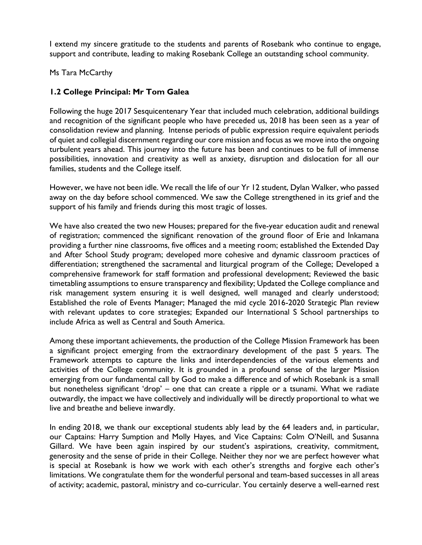I extend my sincere gratitude to the students and parents of Rosebank who continue to engage, support and contribute, leading to making Rosebank College an outstanding school community.

Ms Tara McCarthy

## **1.2 College Principal: Mr Tom Galea**

Following the huge 2017 Sesquicentenary Year that included much celebration, additional buildings and recognition of the significant people who have preceded us, 2018 has been seen as a year of consolidation review and planning. Intense periods of public expression require equivalent periods of quiet and collegial discernment regarding our core mission and focus as we move into the ongoing turbulent years ahead. This journey into the future has been and continues to be full of immense possibilities, innovation and creativity as well as anxiety, disruption and dislocation for all our families, students and the College itself.

However, we have not been idle. We recall the life of our Yr 12 student, Dylan Walker, who passed away on the day before school commenced. We saw the College strengthened in its grief and the support of his family and friends during this most tragic of losses.

We have also created the two new Houses; prepared for the five-year education audit and renewal of registration; commenced the significant renovation of the ground floor of Erie and Inkamana providing a further nine classrooms, five offices and a meeting room; established the Extended Day and After School Study program; developed more cohesive and dynamic classroom practices of differentiation; strengthened the sacramental and liturgical program of the College; Developed a comprehensive framework for staff formation and professional development; Reviewed the basic timetabling assumptions to ensure transparency and flexibility; Updated the College compliance and risk management system ensuring it is well designed, well managed and clearly understood; Established the role of Events Manager; Managed the mid cycle 2016-2020 Strategic Plan review with relevant updates to core strategies; Expanded our International S School partnerships to include Africa as well as Central and South America.

Among these important achievements, the production of the College Mission Framework has been a significant project emerging from the extraordinary development of the past 5 years. The Framework attempts to capture the links and interdependencies of the various elements and activities of the College community. It is grounded in a profound sense of the larger Mission emerging from our fundamental call by God to make a difference and of which Rosebank is a small but nonetheless significant 'drop' – one that can create a ripple or a tsunami. What we radiate outwardly, the impact we have collectively and individually will be directly proportional to what we live and breathe and believe inwardly.

In ending 2018, we thank our exceptional students ably lead by the 64 leaders and, in particular, our Captains: Harry Sumption and Molly Hayes, and Vice Captains: Colm O'Neill, and Susanna Gillard. We have been again inspired by our student's aspirations, creativity, commitment, generosity and the sense of pride in their College. Neither they nor we are perfect however what is special at Rosebank is how we work with each other's strengths and forgive each other's limitations. We congratulate them for the wonderful personal and team-based successes in all areas of activity; academic, pastoral, ministry and co-curricular. You certainly deserve a well-earned rest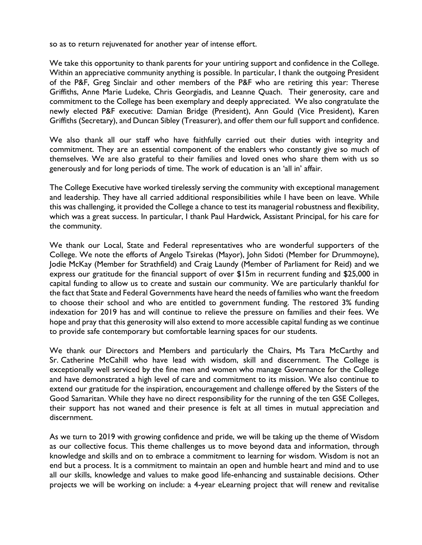so as to return rejuvenated for another year of intense effort.

We take this opportunity to thank parents for your untiring support and confidence in the College. Within an appreciative community anything is possible. In particular, I thank the outgoing President of the P&F, Greg Sinclair and other members of the P&F who are retiring this year: Therese Griffiths, Anne Marie Ludeke, Chris Georgiadis, and Leanne Quach. Their generosity, care and commitment to the College has been exemplary and deeply appreciated. We also congratulate the newly elected P&F executive: Damian Bridge (President), Ann Gould (Vice President), Karen Griffiths (Secretary), and Duncan Sibley (Treasurer), and offer them our full support and confidence.

We also thank all our staff who have faithfully carried out their duties with integrity and commitment. They are an essential component of the enablers who constantly give so much of themselves. We are also grateful to their families and loved ones who share them with us so generously and for long periods of time. The work of education is an 'all in' affair.

The College Executive have worked tirelessly serving the community with exceptional management and leadership. They have all carried additional responsibilities while I have been on leave. While this was challenging, it provided the College a chance to test its managerial robustness and flexibility, which was a great success. In particular, I thank Paul Hardwick, Assistant Principal, for his care for the community.

We thank our Local, State and Federal representatives who are wonderful supporters of the College. We note the efforts of Angelo Tsirekas (Mayor), John Sidoti (Member for Drummoyne), Jodie McKay (Member for Strathfield) and Craig Laundy (Member of Parliament for Reid) and we express our gratitude for the financial support of over \$15m in recurrent funding and \$25,000 in capital funding to allow us to create and sustain our community. We are particularly thankful for the fact that State and Federal Governments have heard the needs of families who want the freedom to choose their school and who are entitled to government funding. The restored 3% funding indexation for 2019 has and will continue to relieve the pressure on families and their fees. We hope and pray that this generosity will also extend to more accessible capital funding as we continue to provide safe contemporary but comfortable learning spaces for our students.

We thank our Directors and Members and particularly the Chairs, Ms Tara McCarthy and Sr. Catherine McCahill who have lead with wisdom, skill and discernment. The College is exceptionally well serviced by the fine men and women who manage Governance for the College and have demonstrated a high level of care and commitment to its mission. We also continue to extend our gratitude for the inspiration, encouragement and challenge offered by the Sisters of the Good Samaritan. While they have no direct responsibility for the running of the ten GSE Colleges, their support has not waned and their presence is felt at all times in mutual appreciation and discernment.

As we turn to 2019 with growing confidence and pride, we will be taking up the theme of Wisdom as our collective focus. This theme challenges us to move beyond data and information, through knowledge and skills and on to embrace a commitment to learning for wisdom. Wisdom is not an end but a process. It is a commitment to maintain an open and humble heart and mind and to use all our skills, knowledge and values to make good life-enhancing and sustainable decisions. Other projects we will be working on include: a 4-year eLearning project that will renew and revitalise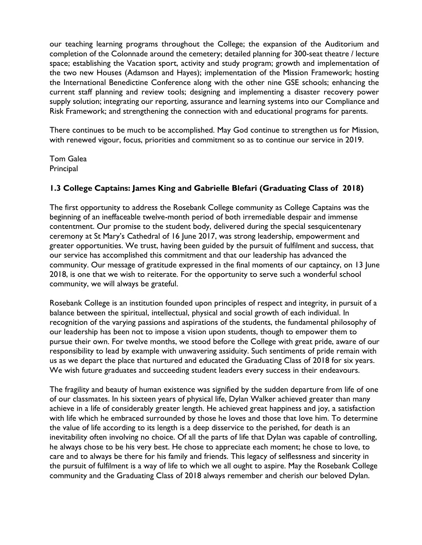our teaching learning programs throughout the College; the expansion of the Auditorium and completion of the Colonnade around the cemetery; detailed planning for 300-seat theatre / lecture space; establishing the Vacation sport, activity and study program; growth and implementation of the two new Houses (Adamson and Hayes); implementation of the Mission Framework; hosting the International Benedictine Conference along with the other nine GSE schools; enhancing the current staff planning and review tools; designing and implementing a disaster recovery power supply solution; integrating our reporting, assurance and learning systems into our Compliance and Risk Framework; and strengthening the connection with and educational programs for parents.

There continues to be much to be accomplished. May God continue to strengthen us for Mission, with renewed vigour, focus, priorities and commitment so as to continue our service in 2019.

Tom Galea **Principal** 

## **1.3 College Captains: James King and Gabrielle Blefari (Graduating Class of 2018)**

The first opportunity to address the Rosebank College community as College Captains was the beginning of an ineffaceable twelve-month period of both irremediable despair and immense contentment. Our promise to the student body, delivered during the special sesquicentenary ceremony at St Mary's Cathedral of 16 June 2017, was strong leadership, empowerment and greater opportunities. We trust, having been guided by the pursuit of fulfilment and success, that our service has accomplished this commitment and that our leadership has advanced the community. Our message of gratitude expressed in the final moments of our captaincy, on 13 June 2018, is one that we wish to reiterate. For the opportunity to serve such a wonderful school community, we will always be grateful.

Rosebank College is an institution founded upon principles of respect and integrity, in pursuit of a balance between the spiritual, intellectual, physical and social growth of each individual. In recognition of the varying passions and aspirations of the students, the fundamental philosophy of our leadership has been not to impose a vision upon students, though to empower them to pursue their own. For twelve months, we stood before the College with great pride, aware of our responsibility to lead by example with unwavering assiduity. Such sentiments of pride remain with us as we depart the place that nurtured and educated the Graduating Class of 2018 for six years. We wish future graduates and succeeding student leaders every success in their endeavours.

The fragility and beauty of human existence was signified by the sudden departure from life of one of our classmates. In his sixteen years of physical life, Dylan Walker achieved greater than many achieve in a life of considerably greater length. He achieved great happiness and joy, a satisfaction with life which he embraced surrounded by those he loves and those that love him. To determine the value of life according to its length is a deep disservice to the perished, for death is an inevitability often involving no choice. Of all the parts of life that Dylan was capable of controlling, he always chose to be his very best. He chose to appreciate each moment; he chose to love, to care and to always be there for his family and friends. This legacy of selflessness and sincerity in the pursuit of fulfilment is a way of life to which we all ought to aspire. May the Rosebank College community and the Graduating Class of 2018 always remember and cherish our beloved Dylan.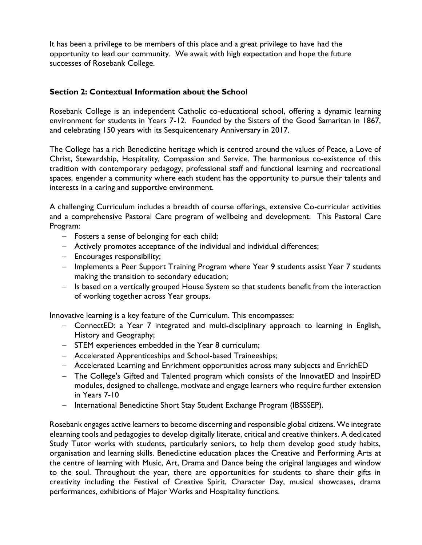It has been a privilege to be members of this place and a great privilege to have had the opportunity to lead our community. We await with high expectation and hope the future successes of Rosebank College.

#### **Section 2: Contextual Information about the School**

Rosebank College is an independent Catholic co-educational school, offering a dynamic learning environment for students in Years 7-12. Founded by the Sisters of the Good Samaritan in 1867, and celebrating 150 years with its Sesquicentenary Anniversary in 2017.

The College has a rich Benedictine heritage which is centred around the values of Peace, a Love of Christ, Stewardship, Hospitality, Compassion and Service. The harmonious co-existence of this tradition with contemporary pedagogy, professional staff and functional learning and recreational spaces, engender a community where each student has the opportunity to pursue their talents and interests in a caring and supportive environment.

A challenging Curriculum includes a breadth of course offerings, extensive Co-curricular activities and a comprehensive Pastoral Care program of wellbeing and development. This Pastoral Care Program:

- − Fosters a sense of belonging for each child;
- − Actively promotes acceptance of the individual and individual differences;
- − Encourages responsibility;
- − Implements a Peer Support Training Program where Year 9 students assist Year 7 students making the transition to secondary education;
- − Is based on a vertically grouped House System so that students benefit from the interaction of working together across Year groups.

Innovative learning is a key feature of the Curriculum. This encompasses:

- − ConnectED: a Year 7 integrated and multi-disciplinary approach to learning in English, History and Geography;
- − STEM experiences embedded in the Year 8 curriculum;
- − Accelerated Apprenticeships and School-based Traineeships;
- − Accelerated Learning and Enrichment opportunities across many subjects and EnrichED
- − The College's Gifted and Talented program which consists of the InnovatED and InspirED modules, designed to challenge, motivate and engage learners who require further extension in Years 7-10
- − International Benedictine Short Stay Student Exchange Program (IBSSSEP).

Rosebank engages active learners to become discerning and responsible global citizens. We integrate elearning tools and pedagogies to develop digitally literate, critical and creative thinkers. A dedicated Study Tutor works with students, particularly seniors, to help them develop good study habits, organisation and learning skills. Benedictine education places the Creative and Performing Arts at the centre of learning with Music, Art, Drama and Dance being the original languages and window to the soul. Throughout the year, there are opportunities for students to share their gifts in creativity including the Festival of Creative Spirit, Character Day, musical showcases, drama performances, exhibitions of Major Works and Hospitality functions.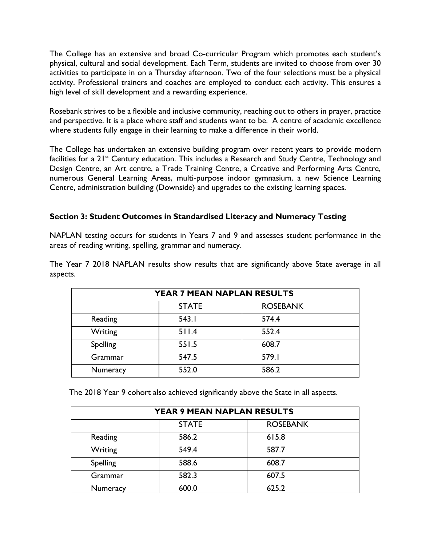The College has an extensive and broad Co-curricular Program which promotes each student's physical, cultural and social development. Each Term, students are invited to choose from over 30 activities to participate in on a Thursday afternoon. Two of the four selections must be a physical activity. Professional trainers and coaches are employed to conduct each activity. This ensures a high level of skill development and a rewarding experience.

Rosebank strives to be a flexible and inclusive community, reaching out to others in prayer, practice and perspective. It is a place where staff and students want to be. A centre of academic excellence where students fully engage in their learning to make a difference in their world.

The College has undertaken an extensive building program over recent years to provide modern facilities for a 21<sup>st</sup> Century education. This includes a Research and Study Centre, Technology and Design Centre, an Art centre, a Trade Training Centre, a Creative and Performing Arts Centre, numerous General Learning Areas, multi-purpose indoor gymnasium, a new Science Learning Centre, administration building (Downside) and upgrades to the existing learning spaces.

## **Section 3: Student Outcomes in Standardised Literacy and Numeracy Testing**

NAPLAN testing occurs for students in Years 7 and 9 and assesses student performance in the areas of reading writing, spelling, grammar and numeracy.

The Year 7 2018 NAPLAN results show results that are significantly above State average in all aspects.

| YEAR 7 MEAN NAPLAN RESULTS |              |                 |  |
|----------------------------|--------------|-----------------|--|
|                            | <b>STATE</b> | <b>ROSEBANK</b> |  |
| Reading                    | 543.1        | 574.4           |  |
| Writing                    | 511.4        | 552.4           |  |
| Spelling                   | 551.5        | 608.7           |  |
| Grammar                    | 547.5        | 579.I           |  |
| Numeracy                   | 552.0        | 586.2           |  |

The 2018 Year 9 cohort also achieved significantly above the State in all aspects.

| YEAR 9 MEAN NAPLAN RESULTS |              |                 |  |
|----------------------------|--------------|-----------------|--|
|                            | <b>STATE</b> | <b>ROSEBANK</b> |  |
| Reading                    | 586.2        | 615.8           |  |
| Writing                    | 549.4        | 587.7           |  |
| Spelling                   | 588.6        | 608.7           |  |
| Grammar                    | 582.3        | 607.5           |  |
| <b>Numeracy</b>            | 600.0        | 625.2           |  |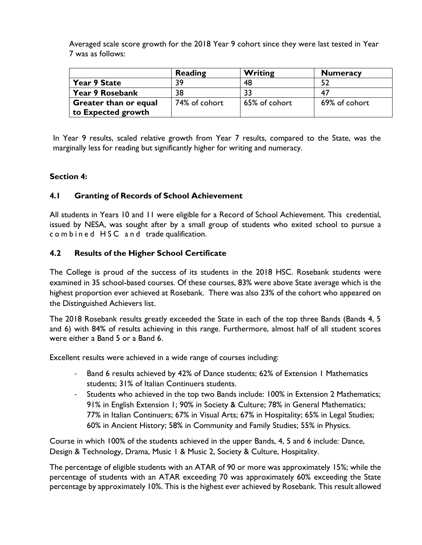Averaged scale score growth for the 2018 Year 9 cohort since they were last tested in Year 7 was as follows:

|                              | Reading       | <b>Writing</b> | <b>Numeracy</b> |
|------------------------------|---------------|----------------|-----------------|
| Year 9 State                 | 39            | 48             |                 |
| Year 9 Rosebank              | 38            | 33             | 47              |
| <b>Greater than or equal</b> | 74% of cohort | 65% of cohort  | 69% of cohort   |
| to Expected growth           |               |                |                 |

In Year 9 results, scaled relative growth from Year 7 results, compared to the State, was the marginally less for reading but significantly higher for writing and numeracy.

## **Section 4:**

## **4.1 Granting of Records of School Achievement**

All students in Years 10 and 11 were eligible for a Record of School Achievement. This credential, issued by NESA, was sought after by a small group of students who exited school to pursue a c o m b i n e d HSC and trade qualification.

## **4.2 Results of the Higher School Certificate**

The College is proud of the success of its students in the 2018 HSC. Rosebank students were examined in 35 school-based courses. Of these courses, 83% were above State average which is the highest proportion ever achieved at Rosebank. There was also 23% of the cohort who appeared on the Distinguished Achievers list.

The 2018 Rosebank results greatly exceeded the State in each of the top three Bands (Bands 4, 5 and 6) with 84% of results achieving in this range. Furthermore, almost half of all student scores were either a Band 5 or a Band 6.

Excellent results were achieved in a wide range of courses including:

- Band 6 results achieved by 42% of Dance students; 62% of Extension 1 Mathematics students; 31% of Italian Continuers students.
- Students who achieved in the top two Bands include: 100% in Extension 2 Mathematics; 91% in English Extension 1; 90% in Society & Culture; 78% in General Mathematics; 77% in Italian Continuers; 67% in Visual Arts; 67% in Hospitality; 65% in Legal Studies; 60% in Ancient History; 58% in Community and Family Studies; 55% in Physics.

Course in which 100% of the students achieved in the upper Bands, 4, 5 and 6 include: Dance, Design & Technology, Drama, Music 1 & Music 2, Society & Culture, Hospitality.

The percentage of eligible students with an ATAR of 90 or more was approximately 15%; while the percentage of students with an ATAR exceeding 70 was approximately 60% exceeding the State percentage by approximately 10%. This is the highest ever achieved by Rosebank. This result allowed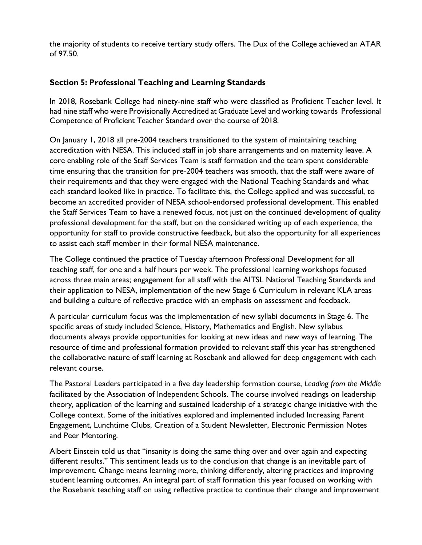the majority of students to receive tertiary study offers. The Dux of the College achieved an ATAR of 97.50.

## **Section 5: Professional Teaching and Learning Standards**

In 2018, Rosebank College had ninety-nine staff who were classified as Proficient Teacher level. It had nine staff who were Provisionally Accredited at Graduate Level and working towards Professional Competence of Proficient Teacher Standard over the course of 2018.

On January 1, 2018 all pre-2004 teachers transitioned to the system of maintaining teaching accreditation with NESA. This included staff in job share arrangements and on maternity leave. A core enabling role of the Staff Services Team is staff formation and the team spent considerable time ensuring that the transition for pre-2004 teachers was smooth, that the staff were aware of their requirements and that they were engaged with the National Teaching Standards and what each standard looked like in practice. To facilitate this, the College applied and was successful, to become an accredited provider of NESA school-endorsed professional development. This enabled the Staff Services Team to have a renewed focus, not just on the continued development of quality professional development for the staff, but on the considered writing up of each experience, the opportunity for staff to provide constructive feedback, but also the opportunity for all experiences to assist each staff member in their formal NESA maintenance.

The College continued the practice of Tuesday afternoon Professional Development for all teaching staff, for one and a half hours per week. The professional learning workshops focused across three main areas; engagement for all staff with the AITSL National Teaching Standards and their application to NESA, implementation of the new Stage 6 Curriculum in relevant KLA areas and building a culture of reflective practice with an emphasis on assessment and feedback.

A particular curriculum focus was the implementation of new syllabi documents in Stage 6. The specific areas of study included Science, History, Mathematics and English. New syllabus documents always provide opportunities for looking at new ideas and new ways of learning. The resource of time and professional formation provided to relevant staff this year has strengthened the collaborative nature of staff learning at Rosebank and allowed for deep engagement with each relevant course.

The Pastoral Leaders participated in a five day leadership formation course, *Leading from the Middle*  facilitated by the Association of Independent Schools. The course involved readings on leadership theory, application of the learning and sustained leadership of a strategic change initiative with the College context. Some of the initiatives explored and implemented included Increasing Parent Engagement, Lunchtime Clubs, Creation of a Student Newsletter, Electronic Permission Notes and Peer Mentoring.

Albert Einstein told us that "insanity is doing the same thing over and over again and expecting different results." This sentiment leads us to the conclusion that change is an inevitable part of improvement. Change means learning more, thinking differently, altering practices and improving student learning outcomes. An integral part of staff formation this year focused on working with the Rosebank teaching staff on using reflective practice to continue their change and improvement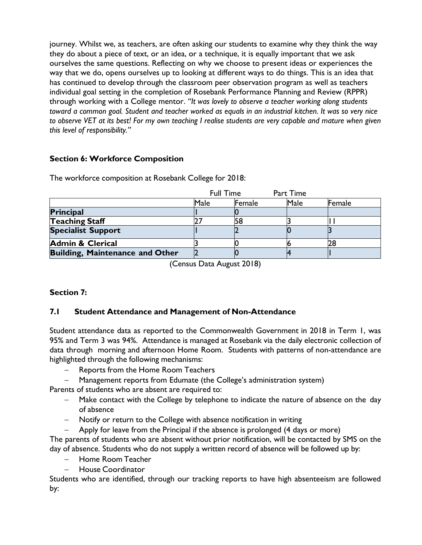journey. Whilst we, as teachers, are often asking our students to examine why they think the way they do about a piece of text, or an idea, or a technique, it is equally important that we ask ourselves the same questions. Reflecting on why we choose to present ideas or experiences the way that we do, opens ourselves up to looking at different ways to do things. This is an idea that has continued to develop through the classroom peer observation program as well as teachers individual goal setting in the completion of Rosebank Performance Planning and Review (RPPR) through working with a College mentor. *"It was lovely to observe a teacher working along students toward a common goal. Student and teacher worked as equals in an industrial kitchen. It was so very nice to observe VET at its best! For my own teaching I realise students are very capable and mature when given this level of responsibility."*

# **Section 6: Workforce Composition**

|                                        | <b>Full Time</b> |        | Part Time |        |
|----------------------------------------|------------------|--------|-----------|--------|
|                                        | Male             | Female | Male      | Female |
| <b>Principal</b>                       |                  |        |           |        |
| <b>Teaching Staff</b>                  |                  |        |           |        |
| <b>Specialist Support</b>              |                  |        |           |        |
| <b>Admin &amp; Clerical</b>            |                  |        |           |        |
| <b>Building, Maintenance and Other</b> |                  |        |           |        |

The workforce composition at Rosebank College for 2018:

(Census Data August 2018)

# **Section 7:**

# **7.1 Student Attendance and Management of Non-Attendance**

Student attendance data as reported to the Commonwealth Government in 2018 in Term 1, was 95% and Term 3 was 94%. Attendance is managed at Rosebank via the daily electronic collection of data through morning and afternoon Home Room. Students with patterns of non-attendance are highlighted through the following mechanisms:

- Reports from the Home Room Teachers
- − Management reports from Edumate (the College's administration system)

Parents of students who are absent are required to:

- Hake contact with the College by telephone to indicate the nature of absence on the day of absence
- − Notify or return to the College with absence notification in writing
- − Apply for leave from the Principal if the absence is prolonged (4 days or more)

The parents of students who are absent without prior notification, will be contacted by SMS on the day of absence. Students who do not supply a written record of absence will be followed up by:

- − Home Room Teacher
- − House Coordinator

Students who are identified, through our tracking reports to have high absenteeism are followed by: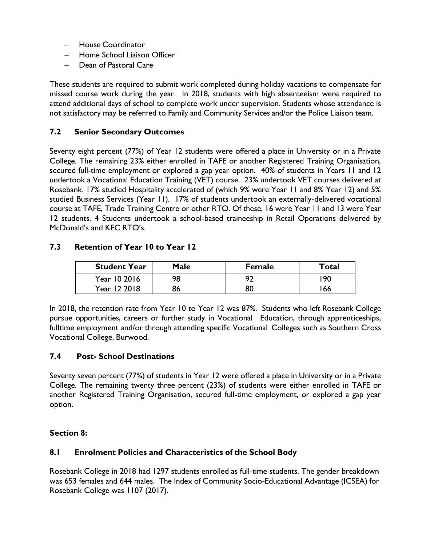- − House Coordinator
- − Home School Liaison Officer
- Dean of Pastoral Care

These students are required to submit work completed during holiday vacations to compensate for missed course work during the year. In 2018, students with high absenteeism were required to attend additional days of school to complete work under supervision. Students whose attendance is not satisfactory may be referred to Family and Community Services and/or the Police Liaison team.

## **7.2 Senior Secondary Outcomes**

Seventy eight percent (77%) of Year 12 students were offered a place in University or in a Private College. The remaining 23% either enrolled in TAFE or another Registered Training Organisation, secured full-time employment or explored a gap year option. 40% of students in Years 11 and 12 undertook a Vocational Education Training (VET) course. 23% undertook VET courses delivered at Rosebank. 17% studied Hospitality accelerated of (which 9% were Year 11 and 8% Year 12) and 5% studied Business Services (Year 11). 17% of students undertook an externally-delivered vocational course at TAFE, Trade Training Centre or other RTO. Of these, 16 were Year 11 and 13 were Year 12 students. 4 Students undertook a school-based traineeship in Retail Operations delivered by McDonald's and KFC RTO's.

## **7.3 Retention of Year 10 to Year 12**

| <b>Student Year</b> | Male | <b>Female</b> | Total |
|---------------------|------|---------------|-------|
| Year 10 2016        | 98   | ຊາ            | 90 ا  |
| Year 12 2018        |      | 80            | 66    |

In 2018, the retention rate from Year 10 to Year 12 was 87%. Students who left Rosebank College pursue opportunities, careers or further study in Vocational Education, through apprenticeships, fulltime employment and/or through attending specific Vocational Colleges such as Southern Cross Vocational College, Burwood.

## **7.4 Post- School Destinations**

Seventy seven percent (77%) of students in Year 12 were offered a place in University or in a Private College. The remaining twenty three percent (23%) of students were either enrolled in TAFE or another Registered Training Organisation, secured full-time employment, or explored a gap year option.

## **Section 8:**

## **8.1 Enrolment Policies and Characteristics of the School Body**

Rosebank College in 2018 had 1297 students enrolled as full-time students. The gender breakdown was 653 females and 644 males. The Index of Community Socio-Educational Advantage (ICSEA) for Rosebank College was 1107 (2017).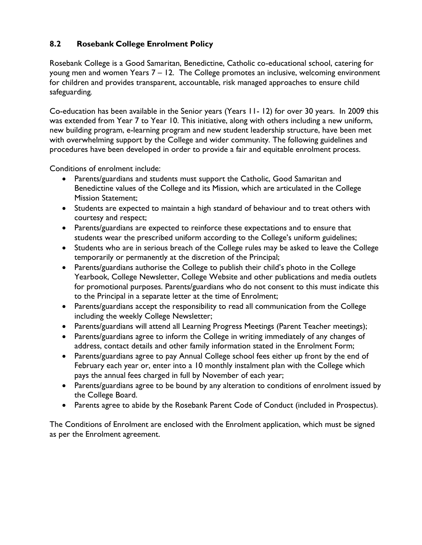# **8.2 Rosebank College Enrolment Policy**

Rosebank College is a Good Samaritan, Benedictine, Catholic co-educational school, catering for young men and women Years 7 – 12. The College promotes an inclusive, welcoming environment for children and provides transparent, accountable, risk managed approaches to ensure child safeguarding*.*

Co-education has been available in the Senior years (Years 11- 12) for over 30 years. In 2009 this was extended from Year 7 to Year 10. This initiative, along with others including a new uniform, new building program, e-learning program and new student leadership structure, have been met with overwhelming support by the College and wider community. The following guidelines and procedures have been developed in order to provide a fair and equitable enrolment process.

Conditions of enrolment include:

- Parents/guardians and students must support the Catholic, Good Samaritan and Benedictine values of the College and its Mission, which are articulated in the College Mission Statement;
- Students are expected to maintain a high standard of behaviour and to treat others with courtesy and respect;
- Parents/guardians are expected to reinforce these expectations and to ensure that students wear the prescribed uniform according to the College's uniform guidelines;
- Students who are in serious breach of the College rules may be asked to leave the College temporarily or permanently at the discretion of the Principal;
- Parents/guardians authorise the College to publish their child's photo in the College Yearbook, College Newsletter, College Website and other publications and media outlets for promotional purposes. Parents/guardians who do not consent to this must indicate this to the Principal in a separate letter at the time of Enrolment;
- Parents/guardians accept the responsibility to read all communication from the College including the weekly College Newsletter;
- Parents/guardians will attend all Learning Progress Meetings (Parent Teacher meetings);
- Parents/guardians agree to inform the College in writing immediately of any changes of address, contact details and other family information stated in the Enrolment Form;
- Parents/guardians agree to pay Annual College school fees either up front by the end of February each year or, enter into a 10 monthly instalment plan with the College which pays the annual fees charged in full by November of each year;
- Parents/guardians agree to be bound by any alteration to conditions of enrolment issued by the College Board.
- Parents agree to abide by the Rosebank Parent Code of Conduct (included in Prospectus).

The Conditions of Enrolment are enclosed with the Enrolment application, which must be signed as per the Enrolment agreement.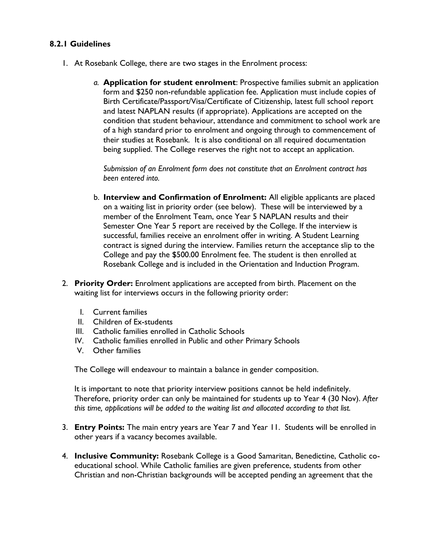## **8.2.1 Guidelines**

- 1. At Rosebank College, there are two stages in the Enrolment process:
	- *a.* **Application for student enrolment**: Prospective families submit an application form and \$250 non-refundable application fee. Application must include copies of Birth Certificate/Passport/Visa/Certificate of Citizenship, latest full school report and latest NAPLAN results (if appropriate). Applications are accepted on the condition that student behaviour, attendance and commitment to school work are of a high standard prior to enrolment and ongoing through to commencement of their studies at Rosebank. It is also conditional on all required documentation being supplied. The College reserves the right not to accept an application.

*Submission of an Enrolment form does not constitute that an Enrolment contract has been entered into.*

- b. **Interview and Confirmation of Enrolment:** All eligible applicants are placed on a waiting list in priority order (see below). These will be interviewed by a member of the Enrolment Team, once Year 5 NAPLAN results and their Semester One Year 5 report are received by the College. If the interview is successful, families receive an enrolment offer in writing. A Student Learning contract is signed during the interview. Families return the acceptance slip to the College and pay the \$500.00 Enrolment fee. The student is then enrolled at Rosebank College and is included in the Orientation and Induction Program.
- 2. **Priority Order:** Enrolment applications are accepted from birth. Placement on the waiting list for interviews occurs in the following priority order:
	- I. Current families
	- II. Children of Ex-students
	- III. Catholic families enrolled in Catholic Schools
	- IV. Catholic families enrolled in Public and other Primary Schools
	- V. Other families

The College will endeavour to maintain a balance in gender composition.

It is important to note that priority interview positions cannot be held indefinitely. Therefore, priority order can only be maintained for students up to Year 4 (30 Nov). *After this time, applications will be added to the waiting list and allocated according to that list.*

- 3. **Entry Points:** The main entry years are Year 7 and Year 11. Students will be enrolled in other years if a vacancy becomes available.
- 4. **Inclusive Community:** Rosebank College is a Good Samaritan, Benedictine, Catholic coeducational school. While Catholic families are given preference, students from other Christian and non-Christian backgrounds will be accepted pending an agreement that the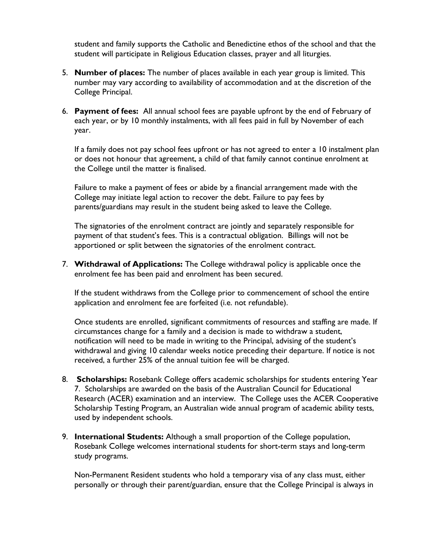student and family supports the Catholic and Benedictine ethos of the school and that the student will participate in Religious Education classes, prayer and all liturgies.

- 5. **Number of places:** The number of places available in each year group is limited. This number may vary according to availability of accommodation and at the discretion of the College Principal.
- 6. **Payment of fees:** All annual school fees are payable upfront by the end of February of each year, or by 10 monthly instalments, with all fees paid in full by November of each year.

If a family does not pay school fees upfront or has not agreed to enter a 10 instalment plan or does not honour that agreement, a child of that family cannot continue enrolment at the College until the matter is finalised.

Failure to make a payment of fees or abide by a financial arrangement made with the College may initiate legal action to recover the debt. Failure to pay fees by parents/guardians may result in the student being asked to leave the College.

The signatories of the enrolment contract are jointly and separately responsible for payment of that student's fees. This is a contractual obligation. Billings will not be apportioned or split between the signatories of the enrolment contract.

7. **Withdrawal of Applications:** The College withdrawal policy is applicable once the enrolment fee has been paid and enrolment has been secured.

If the student withdraws from the College prior to commencement of school the entire application and enrolment fee are forfeited (i.e. not refundable).

Once students are enrolled, significant commitments of resources and staffing are made. If circumstances change for a family and a decision is made to withdraw a student, notification will need to be made in writing to the Principal, advising of the student's withdrawal and giving 10 calendar weeks notice preceding their departure. If notice is not received, a further 25% of the annual tuition fee will be charged.

- 8. **Scholarships:** Rosebank College offers academic scholarships for students entering Year 7. Scholarships are awarded on the basis of the Australian Council for Educational Research (ACER) examination and an interview. The College uses the ACER Cooperative Scholarship Testing Program, an Australian wide annual program of academic ability tests, used by independent schools.
- 9. **International Students:** Although a small proportion of the College population, Rosebank College welcomes international students for short-term stays and long-term study programs.

Non-Permanent Resident students who hold a temporary visa of any class must, either personally or through their parent/guardian, ensure that the College Principal is always in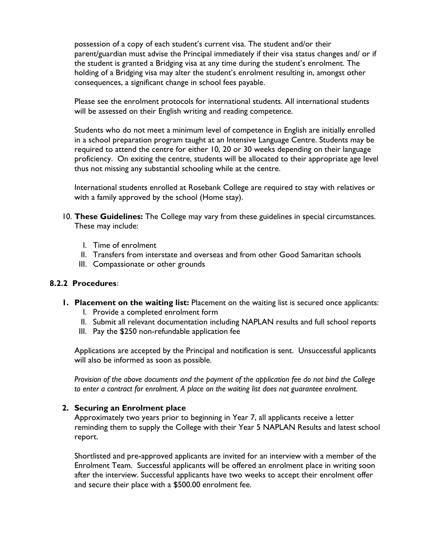possession of a copy of each student's current visa. The student and/or their parent/guardian must advise the Principal immediately if their visa status changes and/ or if the student is granted a Bridging visa at any time during the student's enrolment. The holding of a Bridging visa may alter the student's enrolment resulting in, amongst other consequences, a significant change in school fees payable.

Please see the enrolment protocols for international students. All international students will be assessed on their English writing and reading competence.

Students who do not meet a minimum level of competence in English are initially enrolled in a school preparation program taught at an Intensive Language Centre. Students may be required to attend the centre for either 10, 20 or 30 weeks depending on their language proficiency. On exiting the centre, students will be allocated to their appropriate age level thus not missing any substantial schooling while at the centre.

International students enrolled at Rosebank College are required to stay with relatives or with a family approved by the school (Home stay).

- 10. **These Guidelines:** The College may vary from these guidelines in special circumstances. These may include:
	- I. Time of enrolment
	- II. Transfers from interstate and overseas and from other Good Samaritan schools
	- III. Compassionate or other grounds

## **8.2.2 Procedures:**

- **1. Placement on the waiting list:** Placement on the waiting list is secured once applicants:
	- I. Provide a completed enrolment form
	- II. Submit all relevant documentation including NAPLAN results and full school reports
	- III. Pay the \$250 non-refundable application fee

Applications are accepted by the Principal and notification is sent. Unsuccessful applicants will also be informed as soon as possible.

*Provision of the above documents and the payment of the application fee do not bind the College*  to enter a contract for enrolment. A place on the waiting list does not guarantee enrolment.

## **2. Securing an Enrolment place**

Approximately two years prior to beginning in Year 7, all applicants receive a letter reminding them to supply the College with their Year 5 NAPLAN Results and latest school report.

Shortlisted and pre-approved applicants are invited for an interview with a member of the Enrolment Team. Successful applicants will be offered an enrolment place in writing soon after the interview. Successful applicants have two weeks to accept their enrolment offer and secure their place with a \$500.00 enrolment fee.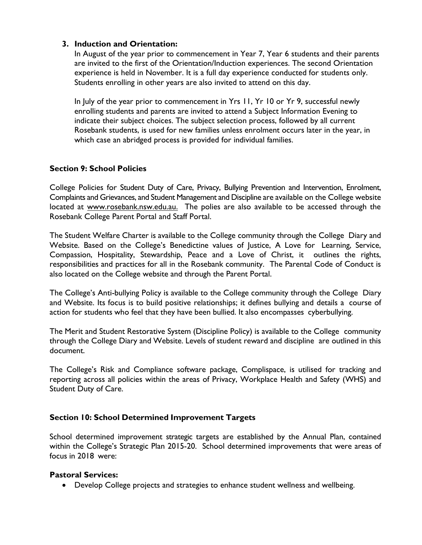## **3. Induction and Orientation:**

In August of the year prior to commencement in Year 7, Year 6 students and their parents are invited to the first of the Orientation/Induction experiences. The second Orientation experience is held in November. It is a full day experience conducted for students only. Students enrolling in other years are also invited to attend on this day.

In July of the year prior to commencement in Yrs 11, Yr 10 or Yr 9, successful newly enrolling students and parents are invited to attend a Subject Information Evening to indicate their subject choices. The subject selection process, followed by all current Rosebank students, is used for new families unless enrolment occurs later in the year, in which case an abridged process is provided for individual families.

## **Section 9: School Policies**

College Policies for Student Duty of Care, Privacy, Bullying Prevention and Intervention, Enrolment, Complaints and Grievances, and Student Management and Discipline are available on the College website located at [www.rosebank.nsw.edu.au.](http://www.rosebank.nsw.edu.au/) The polies are also available to be accessed through the Rosebank College Parent Portal and Staff Portal.

The Student Welfare Charter is available to the College community through the College Diary and Website. Based on the College's Benedictine values of Justice, A Love for Learning, Service, Compassion, Hospitality, Stewardship, Peace and a Love of Christ, it outlines the rights, responsibilities and practices for all in the Rosebank community. The Parental Code of Conduct is also located on the College website and through the Parent Portal.

The College's Anti-bullying Policy is available to the College community through the College Diary and Website. Its focus is to build positive relationships; it defines bullying and details a course of action for students who feel that they have been bullied. It also encompasses cyberbullying.

The Merit and Student Restorative System (Discipline Policy) is available to the College community through the College Diary and Website. Levels of student reward and discipline are outlined in this document.

The College's Risk and Compliance software package, Complispace, is utilised for tracking and reporting across all policies within the areas of Privacy, Workplace Health and Safety (WHS) and Student Duty of Care.

## **Section 10: School Determined Improvement Targets**

School determined improvement strategic targets are established by the Annual Plan, contained within the College's Strategic Plan 2015-20. School determined improvements that were areas of focus in 2018 were:

## **Pastoral Services:**

• Develop College projects and strategies to enhance student wellness and wellbeing.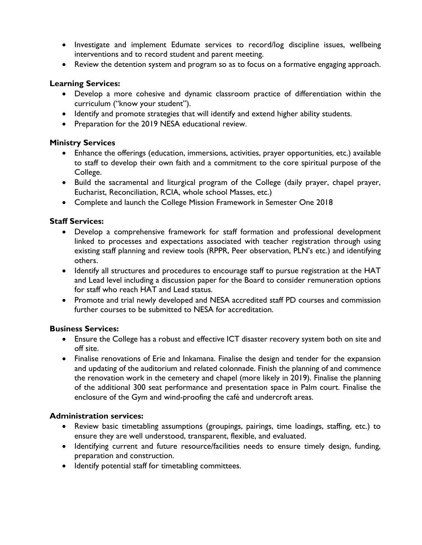- Investigate and implement Edumate services to record/log discipline issues, wellbeing interventions and to record student and parent meeting.
- Review the detention system and program so as to focus on a formative engaging approach.

## **Learning Services:**

- Develop a more cohesive and dynamic classroom practice of differentiation within the curriculum ("know your student").
- Identify and promote strategies that will identify and extend higher ability students.
- Preparation for the 2019 NESA educational review.

## **Ministry Services**

- Enhance the offerings (education, immersions, activities, prayer opportunities, etc.) available to staff to develop their own faith and a commitment to the core spiritual purpose of the College.
- Build the sacramental and liturgical program of the College (daily prayer, chapel prayer, Eucharist, Reconciliation, RCIA, whole school Masses, etc.)
- Complete and launch the College Mission Framework in Semester One 2018

## **Staff Services:**

- Develop a comprehensive framework for staff formation and professional development linked to processes and expectations associated with teacher registration through using existing staff planning and review tools (RPPR, Peer observation, PLN's etc.) and identifying others.
- Identify all structures and procedures to encourage staff to pursue registration at the HAT and Lead level including a discussion paper for the Board to consider remuneration options for staff who reach HAT and Lead status.
- Promote and trial newly developed and NESA accredited staff PD courses and commission further courses to be submitted to NESA for accreditation.

## **Business Services:**

- Ensure the College has a robust and effective ICT disaster recovery system both on site and off site.
- Finalise renovations of Erie and Inkamana. Finalise the design and tender for the expansion and updating of the auditorium and related colonnade. Finish the planning of and commence the renovation work in the cemetery and chapel (more likely in 2019). Finalise the planning of the additional 300 seat performance and presentation space in Palm court. Finalise the enclosure of the Gym and wind-proofing the café and undercroft areas.

## **Administration services:**

- Review basic timetabling assumptions (groupings, pairings, time loadings, staffing, etc.) to ensure they are well understood, transparent, flexible, and evaluated.
- Identifying current and future resource/facilities needs to ensure timely design, funding, preparation and construction.
- Identify potential staff for timetabling committees.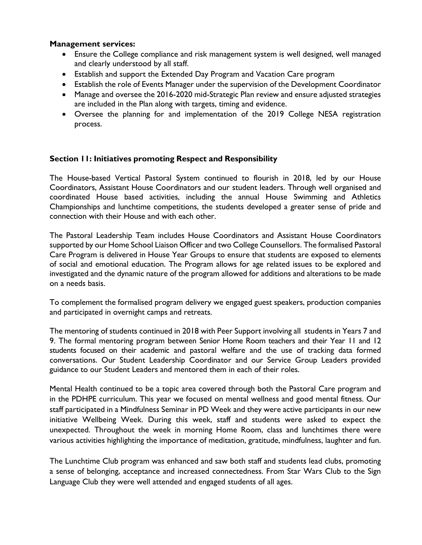#### **Management services:**

- Ensure the College compliance and risk management system is well designed, well managed and clearly understood by all staff.
- Establish and support the Extended Day Program and Vacation Care program
- Establish the role of Events Manager under the supervision of the Development Coordinator
- Manage and oversee the 2016-2020 mid-Strategic Plan review and ensure adjusted strategies are included in the Plan along with targets, timing and evidence.
- Oversee the planning for and implementation of the 2019 College NESA registration process.

## **Section 11: Initiatives promoting Respect and Responsibility**

The House-based Vertical Pastoral System continued to flourish in 2018, led by our House Coordinators, Assistant House Coordinators and our student leaders. Through well organised and coordinated House based activities, including the annual House Swimming and Athletics Championships and lunchtime competitions, the students developed a greater sense of pride and connection with their House and with each other.

The Pastoral Leadership Team includes House Coordinators and Assistant House Coordinators supported by our Home School Liaison Officer and two College Counsellors. The formalised Pastoral Care Program is delivered in House Year Groups to ensure that students are exposed to elements of social and emotional education. The Program allows for age related issues to be explored and investigated and the dynamic nature of the program allowed for additions and alterations to be made on a needs basis.

To complement the formalised program delivery we engaged guest speakers, production companies and participated in overnight camps and retreats.

The mentoring of students continued in 2018 with Peer Support involving all students in Years 7 and 9. The formal mentoring program between Senior Home Room teachers and their Year 11 and 12 students focused on their academic and pastoral welfare and the use of tracking data formed conversations. Our Student Leadership Coordinator and our Service Group Leaders provided guidance to our Student Leaders and mentored them in each of their roles.

Mental Health continued to be a topic area covered through both the Pastoral Care program and in the PDHPE curriculum. This year we focused on mental wellness and good mental fitness. Our staff participated in a Mindfulness Seminar in PD Week and they were active participants in our new initiative Wellbeing Week. During this week, staff and students were asked to expect the unexpected. Throughout the week in morning Home Room, class and lunchtimes there were various activities highlighting the importance of meditation, gratitude, mindfulness, laughter and fun.

The Lunchtime Club program was enhanced and saw both staff and students lead clubs, promoting a sense of belonging, acceptance and increased connectedness. From Star Wars Club to the Sign Language Club they were well attended and engaged students of all ages.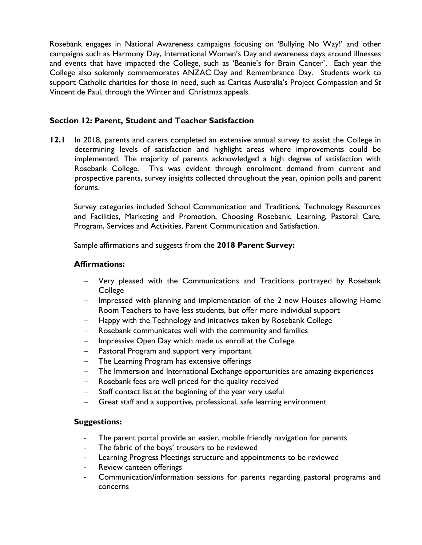Rosebank engages in National Awareness campaigns focusing on 'Bullying No Way!' and other campaigns such as Harmony Day, International Women's Day and awareness days around illnesses and events that have impacted the College, such as 'Beanie's for Brain Cancer'. Each year the College also solemnly commemorates ANZAC Day and Remembrance Day. Students work to support Catholic charities for those in need, such as Caritas Australia's Project Compassion and St Vincent de Paul, through the Winter and Christmas appeals.

## **Section 12: Parent, Student and Teacher Satisfaction**

**12.1** In 2018, parents and carers completed an extensive annual survey to assist the College in determining levels of satisfaction and highlight areas where improvements could be implemented. The majority of parents acknowledged a high degree of satisfaction with Rosebank College. This was evident through enrolment demand from current and prospective parents, survey insights collected throughout the year, opinion polls and parent forums.

Survey categories included School Communication and Traditions, Technology Resources and Facilities, Marketing and Promotion, Choosing Rosebank, Learning, Pastoral Care, Program, Services and Activities, Parent Communication and Satisfaction.

Sample affirmations and suggests from the **2018 Parent Survey:**

## **Affirmations:**

- − Very pleased with the Communications and Traditions portrayed by Rosebank College
- − Impressed with planning and implementation of the 2 new Houses allowing Home Room Teachers to have less students, but offer more individual support
- Happy with the Technology and initiatives taken by Rosebank College
- Rosebank communicates well with the community and families
- Impressive Open Day which made us enroll at the College
- − Pastoral Program and support very important
- − The Learning Program has extensive offerings
- The Immersion and International Exchange opportunities are amazing experiences
- − Rosebank fees are well priced for the quality received
- Staff contact list at the beginning of the year very useful
- − Great staff and a supportive, professional, safe learning environment

## **Suggestions:**

- The parent portal provide an easier, mobile friendly navigation for parents
- The fabric of the boys' trousers to be reviewed
- Learning Progress Meetings structure and appointments to be reviewed
- Review canteen offerings
- Communication/information sessions for parents regarding pastoral programs and concerns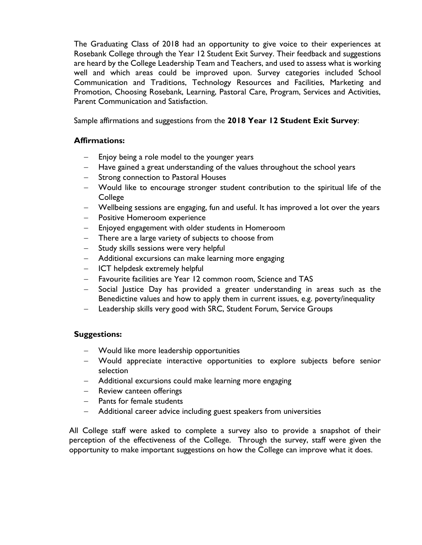The Graduating Class of 2018 had an opportunity to give voice to their experiences at Rosebank College through the Year 12 Student Exit Survey. Their feedback and suggestions are heard by the College Leadership Team and Teachers, and used to assess what is working well and which areas could be improved upon. Survey categories included School Communication and Traditions, Technology Resources and Facilities, Marketing and Promotion, Choosing Rosebank, Learning, Pastoral Care, Program, Services and Activities, Parent Communication and Satisfaction.

Sample affirmations and suggestions from the **2018 Year 12 Student Exit Survey**:

## **Affirmations:**

- Enjoy being a role model to the younger years
- − Have gained a great understanding of the values throughout the school years
- − Strong connection to Pastoral Houses
- − Would like to encourage stronger student contribution to the spiritual life of the College
- − Wellbeing sessions are engaging, fun and useful. It has improved a lot over the years
- − Positive Homeroom experience
- − Enjoyed engagement with older students in Homeroom
- − There are a large variety of subjects to choose from
- − Study skills sessions were very helpful
- − Additional excursions can make learning more engaging
- − ICT helpdesk extremely helpful
- − Favourite facilities are Year 12 common room, Science and TAS
- − Social Justice Day has provided a greater understanding in areas such as the Benedictine values and how to apply them in current issues, e.g. poverty/inequality
- − Leadership skills very good with SRC, Student Forum, Service Groups

## **Suggestions:**

- − Would like more leadership opportunities
- − Would appreciate interactive opportunities to explore subjects before senior selection
- − Additional excursions could make learning more engaging
- − Review canteen offerings
- − Pants for female students
- − Additional career advice including guest speakers from universities

All College staff were asked to complete a survey also to provide a snapshot of their perception of the effectiveness of the College. Through the survey, staff were given the opportunity to make important suggestions on how the College can improve what it does.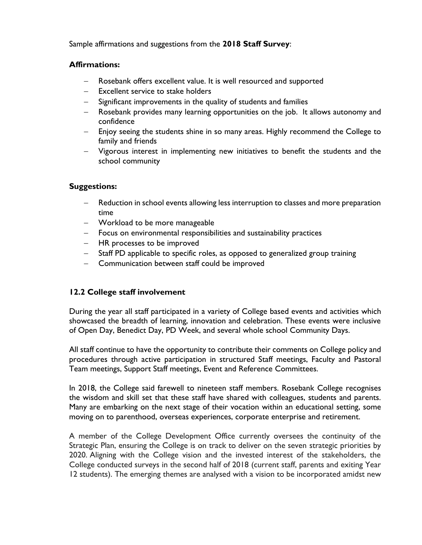Sample affirmations and suggestions from the **2018 Staff Survey**:

#### **Affirmations:**

- Rosebank offers excellent value. It is well resourced and supported
- − Excellent service to stake holders
- − Significant improvements in the quality of students and families
- − Rosebank provides many learning opportunities on the job. It allows autonomy and confidence
- − Enjoy seeing the students shine in so many areas. Highly recommend the College to family and friends
- − Vigorous interest in implementing new initiatives to benefit the students and the school community

## **Suggestions:**

- Reduction in school events allowing less interruption to classes and more preparation time
- − Workload to be more manageable
- − Focus on environmental responsibilities and sustainability practices
- − HR processes to be improved
- − Staff PD applicable to specific roles, as opposed to generalized group training
- − Communication between staff could be improved

# **12.2 College staff involvement**

During the year all staff participated in a variety of College based events and activities which showcased the breadth of learning, innovation and celebration. These events were inclusive of Open Day, Benedict Day, PD Week, and several whole school Community Days.

All staff continue to have the opportunity to contribute their comments on College policy and procedures through active participation in structured Staff meetings, Faculty and Pastoral Team meetings, Support Staff meetings, Event and Reference Committees.

In 2018, the College said farewell to nineteen staff members. Rosebank College recognises the wisdom and skill set that these staff have shared with colleagues, students and parents. Many are embarking on the next stage of their vocation within an educational setting, some moving on to parenthood, overseas experiences, corporate enterprise and retirement.

A member of the College Development Office currently oversees the continuity of the Strategic Plan, ensuring the College is on track to deliver on the seven strategic priorities by 2020. Aligning with the College vision and the invested interest of the stakeholders, the College conducted surveys in the second half of 2018 (current staff, parents and exiting Year 12 students). The emerging themes are analysed with a vision to be incorporated amidst new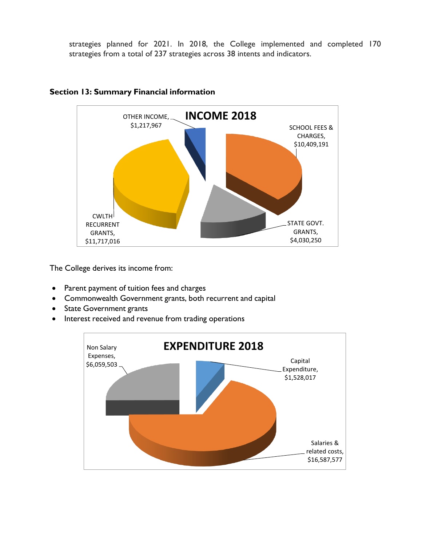strategies planned for 2021. In 2018, the College implemented and completed 170 strategies from a total of 237 strategies across 38 intents and indicators.



#### **Section 13: Summary Financial information**

The College derives its income from:

- Parent payment of tuition fees and charges
- Commonwealth Government grants, both recurrent and capital
- State Government grants
- Interest received and revenue from trading operations